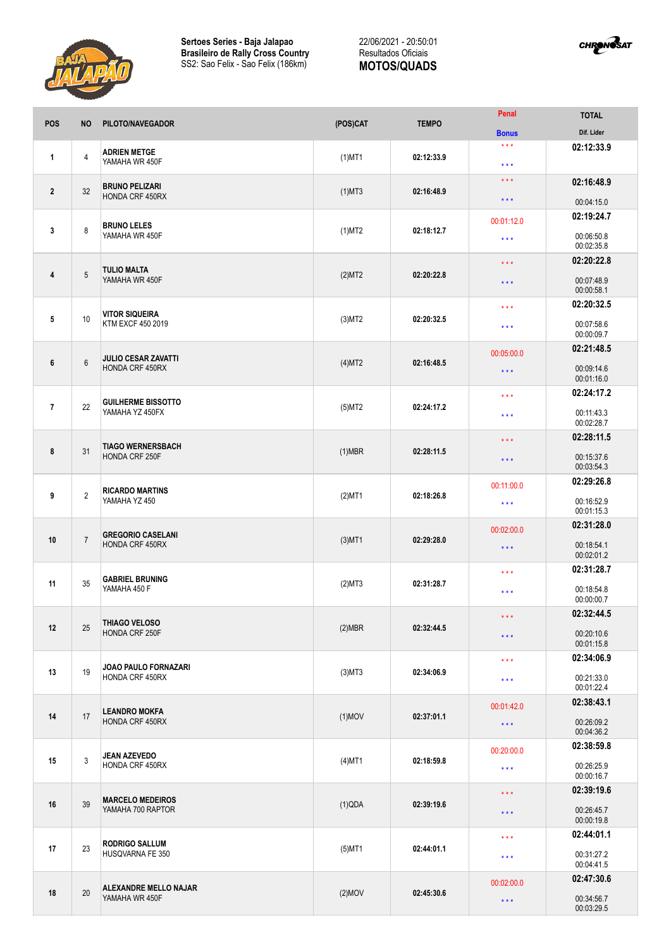



| <b>POS</b>     | <b>NO</b>      | PILOTO/NAVEGADOR                                   | (POS)CAT  | <b>TEMPO</b> | Penal                   | <b>TOTAL</b>             |
|----------------|----------------|----------------------------------------------------|-----------|--------------|-------------------------|--------------------------|
|                |                |                                                    |           |              | <b>Bonus</b><br>$***$   | Dif. Lider               |
| 1              | $\overline{4}$ | <b>ADRIEN METGE</b><br>YAMAHA WR 450F              | $(1)$ MT1 | 02:12:33.9   | $\star$ $\star$ $\star$ | 02:12:33.9               |
| $\overline{2}$ | 32             | <b>BRUNO PELIZARI</b><br>HONDA CRF 450RX           | $(1)$ MT3 | 02:16:48.9   | $\star$ $\star$ $\star$ | 02:16:48.9               |
|                |                |                                                    |           |              | $\star$ $\star$ $\star$ | 00:04:15.0               |
|                |                | <b>BRUNO LELES</b><br>YAMAHA WR 450F               | $(1)$ MT2 | 02:18:12.7   | 00:01:12.0              | 02:19:24.7               |
| 3              | 8              |                                                    |           |              | $***$                   | 00:06:50.8<br>00:02:35.8 |
|                | 5              | <b>TULIO MALTA</b><br>YAMAHA WR 450F               | (2)MT2    | 02:20:22.8   | $\star\star\star$       | 02:20:22.8               |
| 4              |                |                                                    |           |              | $\star$ $\star$ $\star$ | 00:07:48.9<br>00:00:58.1 |
|                |                |                                                    |           | 02:20:32.5   | $***$                   | 02:20:32.5               |
| 5              | 10             | <b>VITOR SIQUEIRA</b><br>KTM EXCF 450 2019         | $(3)$ MT2 |              | $\star$ $\star$ $\star$ | 00:07:58.6<br>00:00:09.7 |
|                |                |                                                    |           |              | 00:05:00.0              | 02:21:48.5               |
| 6              | $\,6\,$        | <b>JULIO CESAR ZAVATTI</b><br>HONDA CRF 450RX      | (4)MT2    | 02:16:48.5   | $\star$ $\star$ $\star$ | 00:09:14.6<br>00:01:16.0 |
|                |                | <b>GUILHERME BISSOTTO</b><br>YAMAHA YZ 450FX       |           |              | $\star$ $\star$ $\star$ | 02:24:17.2               |
| $\overline{1}$ | 22             |                                                    | $(5)$ MT2 | 02:24:17.2   | $***$                   | 00:11:43.3<br>00:02:28.7 |
|                | 31             | <b>TIAGO WERNERSBACH</b><br>HONDA CRF 250F         | $(1)$ MBR |              | $\star\star\star$       | 02:28:11.5               |
| 8              |                |                                                    |           | 02:28:11.5   | $\star$ $\star$ $\star$ | 00:15:37.6<br>00:03:54.3 |
|                | $\overline{2}$ | <b>RICARDO MARTINS</b><br>YAMAHA YZ 450            | $(2)$ MT1 | 02:18:26.8   | 00:11:00.0              | 02:29:26.8               |
| 9              |                |                                                    |           |              | $\star$ $\star$ $\star$ | 00:16:52.9<br>00:01:15.3 |
| 10             | $\overline{7}$ | <b>GREGORIO CASELANI</b><br><b>HONDA CRF 450RX</b> | $(3)$ MT1 | 02:29:28.0   | 00:02:00.0              | 02:31:28.0               |
|                |                |                                                    |           |              | $\star$ $\star$ $\star$ | 00:18:54.1               |
|                |                |                                                    |           |              |                         | 00:02:01.2               |
| 11             | 35             | <b>GABRIEL BRUNING</b><br>YAMAHA 450 F             | (2)MT3    | 02:31:28.7   | $***$                   | 02:31:28.7               |
|                |                |                                                    |           |              | $\star$ $\star$ $\star$ | 00:18:54.8<br>00:00:00.7 |
|                | 25             | THIAGO VELOSO<br>HONDA CRF 250F                    | $(2)$ MBR | 02:32:44.5   | $***$                   | 02:32:44.5               |
| 12             |                |                                                    |           |              | $***$                   | 00:20:10.6               |
|                |                |                                                    |           |              |                         | 00:01:15.8               |
| 13             | 19             | <b>JOAO PAULO FORNAZARI</b><br>HONDA CRF 450RX     | $(3)$ MT3 | 02:34:06.9   | $\star$ $\star$ $\star$ | 02:34:06.9               |
|                |                |                                                    |           |              | $\star$ $\star$ $\star$ | 00:21:33.0<br>00:01:22.4 |
| 14             | 17             | <b>LEANDRO MOKFA</b><br>HONDA CRF 450RX            | $(1)$ MOV | 02:37:01.1   | 00:01:42.0              | 02:38:43.1               |
|                |                |                                                    |           |              | $\star\star\star$       | 00:26:09.2<br>00:04:36.2 |
|                | 3              | <b>JEAN AZEVEDO</b><br>HONDA CRF 450RX             | $(4)$ MT1 | 02:18:59.8   | 00:20:00.0              | 02:38:59.8               |
| 15             |                |                                                    |           |              | $\star\star\star$       | 00:26:25.9               |
|                |                |                                                    |           |              |                         | 00:00:16.7               |
| 16             | 39             | <b>MARCELO MEDEIROS</b><br>YAMAHA 700 RAPTOR       | (1)QDA    | 02:39:19.6   | $\star$ $\star$ $\star$ | 02:39:19.6               |
|                |                |                                                    |           |              | $\star$ $\star$ $\star$ | 00:26:45.7<br>00:00:19.8 |
| 17             | 23             | <b>RODRIGO SALLUM</b><br>HUSQVARNA FE 350          | $(5)$ MT1 | 02:44:01.1   | $\star$ $\star$ $\star$ | 02:44:01.1               |
|                |                |                                                    |           |              | $\star$ $\star$ $\star$ | 00:31:27.2<br>00:04:41.5 |
| 18             | 20             | <b>ALEXANDRE MELLO NAJAR</b><br>YAMAHA WR 450F     | $(2)$ MOV | 02:45:30.6   | 00:02:00.0              | 02:47:30.6               |
|                |                |                                                    |           |              | $\star$ $\star$ $\star$ | 00:34:56.7<br>00:03:29.5 |